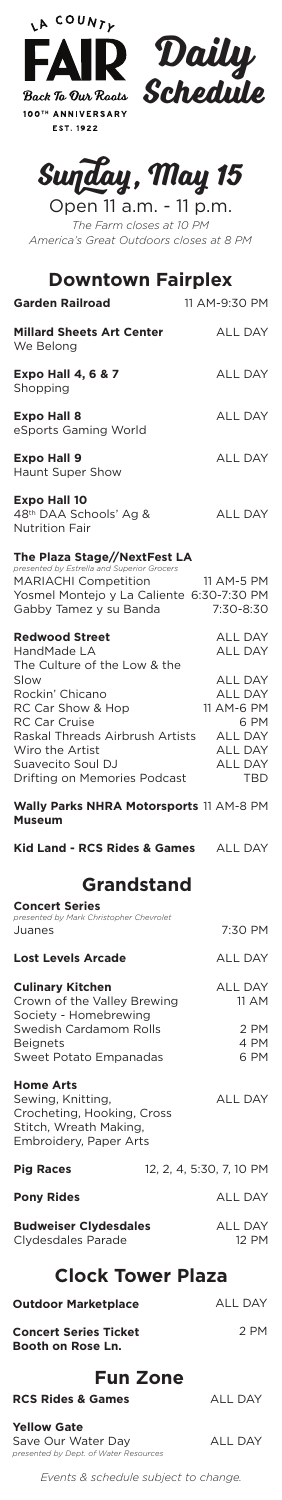





Open 11 a.m. - 11 p.m. *The Farm closes at 10 PM America's Great Outdoors closes at 8 PM*

### **Downtown Fairplex**

| <b>Garden Railroad</b>                                                                                                                                                                                                                                  | 11 AM-9:30 PM                                                                                                                                                  |
|---------------------------------------------------------------------------------------------------------------------------------------------------------------------------------------------------------------------------------------------------------|----------------------------------------------------------------------------------------------------------------------------------------------------------------|
| <b>Millard Sheets Art Center</b><br>We Belong                                                                                                                                                                                                           | ALL DAY                                                                                                                                                        |
| <b>Expo Hall 4, 6 &amp; 7</b><br>Shopping                                                                                                                                                                                                               | <b>ALL DAY</b>                                                                                                                                                 |
| <b>Expo Hall 8</b><br>eSports Gaming World                                                                                                                                                                                                              | <b>ALL DAY</b>                                                                                                                                                 |
| <b>Expo Hall 9</b><br>Haunt Super Show                                                                                                                                                                                                                  | <b>ALL DAY</b>                                                                                                                                                 |
| <b>Expo Hall 10</b><br>48 <sup>th</sup> DAA Schools' Ag &<br><b>Nutrition Fair</b>                                                                                                                                                                      | <b>ALL DAY</b>                                                                                                                                                 |
| The Plaza Stage//NextFest LA<br>presented by Estrella and Superior Grocers<br><b>MARIACHI Competition</b><br>Yosmel Montejo y La Caliente 6:30-7:30 PM<br>Gabby Tamez y su Banda                                                                        | 11 AM-5 PM<br>7:30-8:30                                                                                                                                        |
| <b>Redwood Street</b><br>HandMade LA<br>The Culture of the Low & the<br>Slow<br>Rockin' Chicano<br>RC Car Show & Hop<br><b>RC Car Cruise</b><br>Raskal Threads Airbrush Artists<br>Wiro the Artist<br>Suavecito Soul DJ<br>Drifting on Memories Podcast | <b>ALL DAY</b><br><b>ALL DAY</b><br><b>ALL DAY</b><br><b>ALL DAY</b><br>11 AM-6 PM<br>6 PM<br><b>ALL DAY</b><br><b>ALL DAY</b><br><b>ALL DAY</b><br><b>TBD</b> |
| Wally Parks NHRA Motorsports 11 AM-8 PM<br><b>Museum</b>                                                                                                                                                                                                |                                                                                                                                                                |
| Kid Land - RCS Rides & Games ALL DAY                                                                                                                                                                                                                    |                                                                                                                                                                |

12, 2, 4, 5:30, 7, 10 PM ALL DAY ALL DAY 12 PM **Pony Rides Budweiser Clydesdales** Clydesdales Parade **Clock Tower Plaza**

# **Grandstand**

| <b>Concert Series</b><br>presented by Mark Christopher Chevrolet |                |
|------------------------------------------------------------------|----------------|
| Juanes                                                           | 7:30 PM        |
| <b>Lost Levels Arcade</b>                                        | <b>ALL DAY</b> |
| <b>Culinary Kitchen</b>                                          | <b>ALL DAY</b> |
| Crown of the Valley Brewing<br>Society - Homebrewing             | 11 AM          |
| Swedish Cardamom Rolls                                           | 2 PM           |
| <b>Beignets</b>                                                  | 4 PM           |
| Sweet Potato Empanadas                                           | 6 PM           |
| <b>Home Arts</b>                                                 |                |
| Sewing, Knitting,                                                | ALL DAY        |
| Crocheting, Hooking, Cross                                       |                |
| Stitch, Wreath Making,                                           |                |
| Embroidery, Paper Arts                                           |                |

#### **Pig Rac**

ALL DAY **Outdoor Marketplace**

2 PM **Concert Series Ticket Booth on Rose Ln.**

*Events & schedule subject to change.*

## **Fun Zone**

ALL DAY

ALL DAY

#### **RCS Rides & Games**

**Yellow Gate** Save Our Water Day *presented by Dept. of Water Resources*